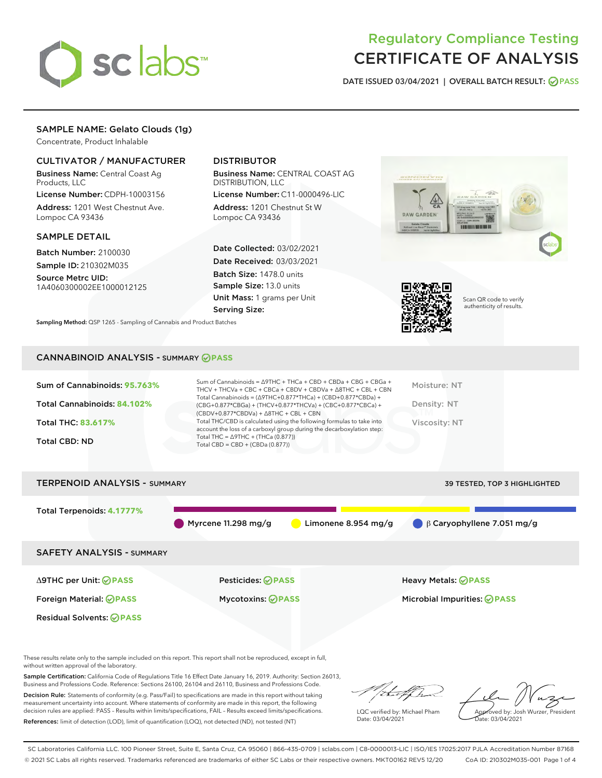

# Regulatory Compliance Testing CERTIFICATE OF ANALYSIS

DATE ISSUED 03/04/2021 | OVERALL BATCH RESULT: @ PASS

# SAMPLE NAME: Gelato Clouds (1g)

Concentrate, Product Inhalable

# CULTIVATOR / MANUFACTURER

Business Name: Central Coast Ag Products, LLC

License Number: CDPH-10003156 Address: 1201 West Chestnut Ave. Lompoc CA 93436

## SAMPLE DETAIL

Batch Number: 2100030 Sample ID: 210302M035

Source Metrc UID: 1A4060300002EE1000012125

# DISTRIBUTOR

Business Name: CENTRAL COAST AG DISTRIBUTION, LLC

License Number: C11-0000496-LIC Address: 1201 Chestnut St W Lompoc CA 93436

Date Collected: 03/02/2021 Date Received: 03/03/2021 Batch Size: 1478.0 units Sample Size: 13.0 units Unit Mass: 1 grams per Unit Serving Size:





Scan QR code to verify authenticity of results.

Sampling Method: QSP 1265 - Sampling of Cannabis and Product Batches

# CANNABINOID ANALYSIS - SUMMARY **PASS**

| Sum of Cannabinoids: 95.763%<br>Total Cannabinoids: 84.102%<br><b>Total THC: 83.617%</b><br>Total CBD: ND | Sum of Cannabinoids = $\triangle$ 9THC + THCa + CBD + CBDa + CBG + CBGa +<br>THCV + THCVa + CBC + CBCa + CBDV + CBDVa + $\Delta$ 8THC + CBL + CBN<br>Total Cannabinoids = $(\Delta$ 9THC+0.877*THCa) + (CBD+0.877*CBDa) +<br>(CBG+0.877*CBGa) + (THCV+0.877*THCVa) + (CBC+0.877*CBCa) +<br>$(CBDV+0.877*CBDVa) + \Delta 8THC + CBL + CBN$<br>Total THC/CBD is calculated using the following formulas to take into<br>account the loss of a carboxyl group during the decarboxylation step:<br>Total THC = $\triangle$ 9THC + (THCa (0.877))<br>Total CBD = $CBD + (CBDa (0.877))$ | Moisture: NT<br>Density: NT<br><b>Viscosity: NT</b> |
|-----------------------------------------------------------------------------------------------------------|------------------------------------------------------------------------------------------------------------------------------------------------------------------------------------------------------------------------------------------------------------------------------------------------------------------------------------------------------------------------------------------------------------------------------------------------------------------------------------------------------------------------------------------------------------------------------------|-----------------------------------------------------|
| <b>TERPENOID ANALYSIS - SUMMARY</b>                                                                       |                                                                                                                                                                                                                                                                                                                                                                                                                                                                                                                                                                                    | 39 TESTED, TOP 3 HIGHLIGHTED                        |
| Total Terpenoids: 4.1777%                                                                                 |                                                                                                                                                                                                                                                                                                                                                                                                                                                                                                                                                                                    |                                                     |

Myrcene 11.298 mg/g **C** Limonene 8.954 mg/g β Caryophyllene 7.051 mg/g

SAFETY ANALYSIS - SUMMARY

Δ9THC per Unit: **PASS** Pesticides: **PASS** Heavy Metals: **PASS**

Residual Solvents: **PASS** 

Foreign Material: **PASS** Mycotoxins: **PASS** Microbial Impurities: **PASS**

These results relate only to the sample included on this report. This report shall not be reproduced, except in full, without written approval of the laboratory.

Sample Certification: California Code of Regulations Title 16 Effect Date January 16, 2019. Authority: Section 26013, Business and Professions Code. Reference: Sections 26100, 26104 and 26110, Business and Professions Code.

Decision Rule: Statements of conformity (e.g. Pass/Fail) to specifications are made in this report without taking measurement uncertainty into account. Where statements of conformity are made in this report, the following decision rules are applied: PASS – Results within limits/specifications, FAIL – Results exceed limits/specifications. References: limit of detection (LOD), limit of quantification (LOQ), not detected (ND), not tested (NT)

that fCh

LQC verified by: Michael Pham Date: 03/04/2021

Approved by: Josh Wurzer, President Date: 03/04/2021

SC Laboratories California LLC. 100 Pioneer Street, Suite E, Santa Cruz, CA 95060 | 866-435-0709 | sclabs.com | C8-0000013-LIC | ISO/IES 17025:2017 PJLA Accreditation Number 87168 © 2021 SC Labs all rights reserved. Trademarks referenced are trademarks of either SC Labs or their respective owners. MKT00162 REV5 12/20 CoA ID: 210302M035-001 Page 1 of 4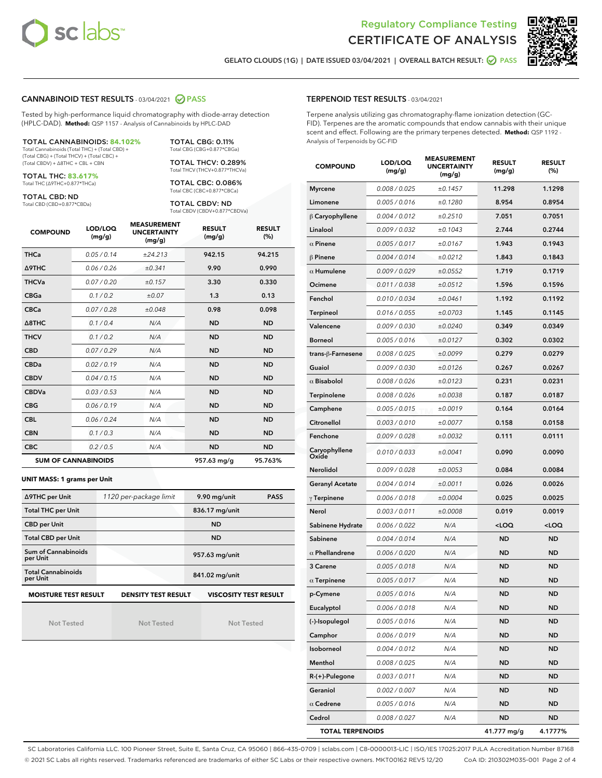



GELATO CLOUDS (1G) | DATE ISSUED 03/04/2021 | OVERALL BATCH RESULT: 2 PASS

## CANNABINOID TEST RESULTS - 03/04/2021 2 PASS

Tested by high-performance liquid chromatography with diode-array detection (HPLC-DAD). **Method:** QSP 1157 - Analysis of Cannabinoids by HPLC-DAD

TOTAL CANNABINOIDS: **84.102%** Total Cannabinoids (Total THC) + (Total CBD) +

(Total CBG) + (Total THCV) + (Total CBC) + (Total CBDV) + ∆8THC + CBL + CBN

TOTAL THC: **83.617%** Total THC (∆9THC+0.877\*THCa)

TOTAL CBD: ND

Total CBD (CBD+0.877\*CBDa)

TOTAL CBG: 0.11% Total CBG (CBG+0.877\*CBGa) TOTAL THCV: 0.289% Total THCV (THCV+0.877\*THCVa)

TOTAL CBC: 0.086% Total CBC (CBC+0.877\*CBCa)

TOTAL CBDV: ND Total CBDV (CBDV+0.877\*CBDVa)

| <b>COMPOUND</b>            | LOD/LOQ<br>(mg/g) | <b>MEASUREMENT</b><br><b>UNCERTAINTY</b><br>(mg/g) | <b>RESULT</b><br>(mg/g) | <b>RESULT</b><br>(%) |
|----------------------------|-------------------|----------------------------------------------------|-------------------------|----------------------|
| <b>THCa</b>                | 0.05/0.14         | ±24.213                                            | 942.15                  | 94.215               |
| <b>A9THC</b>               | 0.06/0.26         | ±0.341                                             | 9.90                    | 0.990                |
| <b>THCVa</b>               | 0.07 / 0.20       | ±0.157                                             | 3.30                    | 0.330                |
| <b>CBGa</b>                | 0.1/0.2           | ±0.07                                              | 1.3                     | 0.13                 |
| <b>CBCa</b>                | 0.07 / 0.28       | ±0.048                                             | 0.98                    | 0.098                |
| $\triangle$ 8THC           | 0.1/0.4           | N/A                                                | <b>ND</b>               | <b>ND</b>            |
| <b>THCV</b>                | 0.1/0.2           | N/A                                                | <b>ND</b>               | <b>ND</b>            |
| <b>CBD</b>                 | 0.07/0.29         | N/A                                                | <b>ND</b>               | <b>ND</b>            |
| <b>CBDa</b>                | 0.02/0.19         | N/A                                                | <b>ND</b>               | <b>ND</b>            |
| <b>CBDV</b>                | 0.04 / 0.15       | N/A                                                | <b>ND</b>               | <b>ND</b>            |
| <b>CBDVa</b>               | 0.03/0.53         | N/A                                                | <b>ND</b>               | <b>ND</b>            |
| <b>CBG</b>                 | 0.06/0.19         | N/A                                                | <b>ND</b>               | <b>ND</b>            |
| <b>CBL</b>                 | 0.06 / 0.24       | N/A                                                | <b>ND</b>               | <b>ND</b>            |
| <b>CBN</b>                 | 0.1/0.3           | N/A                                                | <b>ND</b>               | <b>ND</b>            |
| <b>CBC</b>                 | 0.2 / 0.5         | N/A                                                | <b>ND</b>               | <b>ND</b>            |
| <b>SUM OF CANNABINOIDS</b> |                   |                                                    | 957.63 mg/g             | 95.763%              |

#### **UNIT MASS: 1 grams per Unit**

| ∆9THC per Unit                                                                            | 1120 per-package limit | 9.90 mg/unit   | <b>PASS</b> |  |
|-------------------------------------------------------------------------------------------|------------------------|----------------|-------------|--|
| <b>Total THC per Unit</b>                                                                 |                        | 836.17 mg/unit |             |  |
| <b>CBD per Unit</b>                                                                       |                        | <b>ND</b>      |             |  |
| <b>Total CBD per Unit</b>                                                                 |                        | <b>ND</b>      |             |  |
| Sum of Cannabinoids<br>per Unit                                                           |                        | 957.63 mg/unit |             |  |
| <b>Total Cannabinoids</b><br>per Unit                                                     |                        | 841.02 mg/unit |             |  |
| <b>MOISTURE TEST RESULT</b><br><b>VISCOSITY TEST RESULT</b><br><b>DENSITY TEST RESULT</b> |                        |                |             |  |

**MOISTURE TEST RESULT**

Not Tested

Not Tested

Not Tested

#### TERPENOID TEST RESULTS - 03/04/2021

Terpene analysis utilizing gas chromatography-flame ionization detection (GC-FID). Terpenes are the aromatic compounds that endow cannabis with their unique scent and effect. Following are the primary terpenes detected. **Method:** QSP 1192 - Analysis of Terpenoids by GC-FID

| <b>COMPOUND</b>         | LOD/LOQ<br>(mg/g) | <b>MEASUREMENT</b><br><b>UNCERTAINTY</b><br>(mg/g) | <b>RESULT</b><br>(mg/g)                         | <b>RESULT</b><br>$(\%)$ |
|-------------------------|-------------------|----------------------------------------------------|-------------------------------------------------|-------------------------|
| <b>Myrcene</b>          | 0.008 / 0.025     | ±0.1457                                            | 11.298                                          | 1.1298                  |
| Limonene                | 0.005 / 0.016     | ±0.1280                                            | 8.954                                           | 0.8954                  |
| $\upbeta$ Caryophyllene | 0.004 / 0.012     | ±0.2510                                            | 7.051                                           | 0.7051                  |
| Linalool                | 0.009 / 0.032     | ±0.1043                                            | 2.744                                           | 0.2744                  |
| $\alpha$ Pinene         | 0.005 / 0.017     | ±0.0167                                            | 1.943                                           | 0.1943                  |
| <b>β Pinene</b>         | 0.004 / 0.014     | ±0.0212                                            | 1.843                                           | 0.1843                  |
| $\alpha$ Humulene       | 0.009/0.029       | ±0.0552                                            | 1.719                                           | 0.1719                  |
| Ocimene                 | 0.011 / 0.038     | ±0.0512                                            | 1.596                                           | 0.1596                  |
| Fenchol                 | 0.010 / 0.034     | ±0.0461                                            | 1.192                                           | 0.1192                  |
| <b>Terpineol</b>        | 0.016 / 0.055     | ±0.0703                                            | 1.145                                           | 0.1145                  |
| Valencene               | 0.009 / 0.030     | ±0.0240                                            | 0.349                                           | 0.0349                  |
| <b>Borneol</b>          | 0.005 / 0.016     | ±0.0127                                            | 0.302                                           | 0.0302                  |
| trans-ß-Farnesene       | 0.008 / 0.025     | ±0.0099                                            | 0.279                                           | 0.0279                  |
| Guaiol                  | 0.009 / 0.030     | ±0.0126                                            | 0.267                                           | 0.0267                  |
| $\alpha$ Bisabolol      | 0.008 / 0.026     | ±0.0123                                            | 0.231                                           | 0.0231                  |
| Terpinolene             | 0.008 / 0.026     | ±0.0038                                            | 0.187                                           | 0.0187                  |
| Camphene                | 0.005 / 0.015     | ±0.0019                                            | 0.164                                           | 0.0164                  |
| Citronellol             | 0.003 / 0.010     | ±0.0077                                            | 0.158                                           | 0.0158                  |
| Fenchone                | 0.009 / 0.028     | ±0.0032                                            | 0.111                                           | 0.0111                  |
| Caryophyllene<br>Oxide  | 0.010 / 0.033     | ±0.0041                                            | 0.090                                           | 0.0090                  |
| <b>Nerolidol</b>        | 0.009 / 0.028     | ±0.0053                                            | 0.084                                           | 0.0084                  |
| <b>Geranyl Acetate</b>  | 0.004 / 0.014     | ±0.0011                                            | 0.026                                           | 0.0026                  |
| $\gamma$ Terpinene      | 0.006 / 0.018     | ±0.0004                                            | 0.025                                           | 0.0025                  |
| Nerol                   | 0.003 / 0.011     | ±0.0008                                            | 0.019                                           | 0.0019                  |
| Sabinene Hydrate        | 0.006 / 0.022     | N/A                                                | <loq< td=""><td><loq< td=""></loq<></td></loq<> | <loq< td=""></loq<>     |
| Sabinene                | 0.004 / 0.014     | N/A                                                | ND                                              | ND                      |
| $\alpha$ Phellandrene   | 0.006 / 0.020     | N/A                                                | <b>ND</b>                                       | ND                      |
| 3 Carene                | 0.005 / 0.018     | N/A                                                | <b>ND</b>                                       | ND                      |
| $\alpha$ Terpinene      | 0.005 / 0.017     | N/A                                                | <b>ND</b>                                       | ND                      |
| p-Cymene                | 0.005/0.016       | N/A                                                | <b>ND</b>                                       | ND                      |
| Eucalyptol              | 0.006 / 0.018     | N/A                                                | ND                                              | ND                      |
| (-)-Isopulegol          | 0.005 / 0.016     | N/A                                                | ND                                              | ND                      |
| Camphor                 | 0.006 / 0.019     | N/A                                                | ND                                              | ND                      |
| Isoborneol              | 0.004 / 0.012     | N/A                                                | ND                                              | ND                      |
| Menthol                 | 0.008 / 0.025     | N/A                                                | ND                                              | ND                      |
| $R-(+)$ -Pulegone       | 0.003 / 0.011     | N/A                                                | ND                                              | ND                      |
| Geraniol                | 0.002 / 0.007     | N/A                                                | ND                                              | ND                      |
| $\alpha$ Cedrene        | 0.005 / 0.016     | N/A                                                | ND                                              | ND                      |
| Cedrol                  | 0.008 / 0.027     | N/A                                                | ND                                              | ND                      |
| <b>TOTAL TERPENOIDS</b> |                   |                                                    | 41.777 mg/g                                     | 4.1777%                 |

SC Laboratories California LLC. 100 Pioneer Street, Suite E, Santa Cruz, CA 95060 | 866-435-0709 | sclabs.com | C8-0000013-LIC | ISO/IES 17025:2017 PJLA Accreditation Number 87168 © 2021 SC Labs all rights reserved. Trademarks referenced are trademarks of either SC Labs or their respective owners. MKT00162 REV5 12/20 CoA ID: 210302M035-001 Page 2 of 4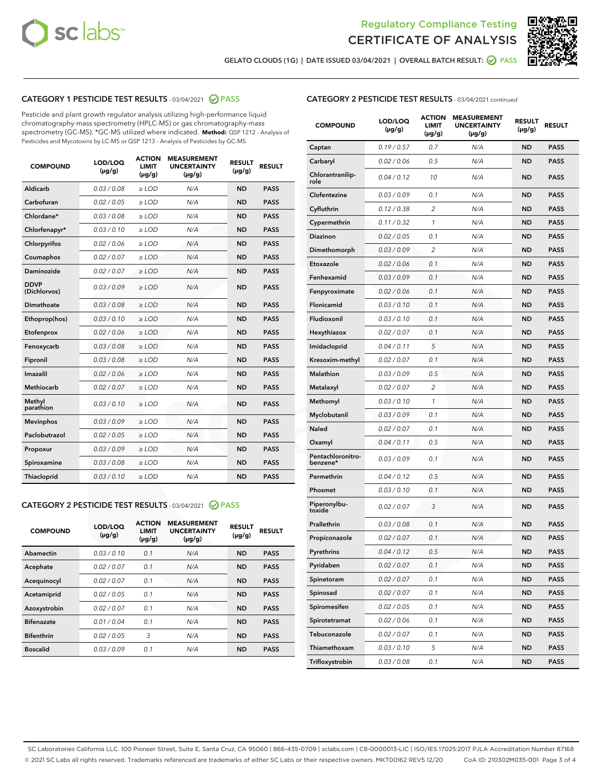



GELATO CLOUDS (1G) | DATE ISSUED 03/04/2021 | OVERALL BATCH RESULT: ● PASS

# CATEGORY 1 PESTICIDE TEST RESULTS - 03/04/2021 2 PASS

Pesticide and plant growth regulator analysis utilizing high-performance liquid chromatography-mass spectrometry (HPLC-MS) or gas chromatography-mass spectrometry (GC-MS). \*GC-MS utilized where indicated. **Method:** QSP 1212 - Analysis of Pesticides and Mycotoxins by LC-MS or QSP 1213 - Analysis of Pesticides by GC-MS

| <b>COMPOUND</b>             | LOD/LOQ<br>$(\mu g/g)$ | <b>ACTION</b><br><b>LIMIT</b><br>$(\mu g/g)$ | <b>MEASUREMENT</b><br><b>UNCERTAINTY</b><br>$(\mu g/g)$ | <b>RESULT</b><br>$(\mu g/g)$ | <b>RESULT</b> |
|-----------------------------|------------------------|----------------------------------------------|---------------------------------------------------------|------------------------------|---------------|
| Aldicarb                    | 0.03 / 0.08            | $\ge$ LOD                                    | N/A                                                     | <b>ND</b>                    | <b>PASS</b>   |
| Carbofuran                  | 0.02 / 0.05            | $\ge$ LOD                                    | N/A                                                     | <b>ND</b>                    | <b>PASS</b>   |
| Chlordane*                  | 0.03 / 0.08            | $\ge$ LOD                                    | N/A                                                     | <b>ND</b>                    | <b>PASS</b>   |
| Chlorfenapyr*               | 0.03/0.10              | $\ge$ LOD                                    | N/A                                                     | <b>ND</b>                    | <b>PASS</b>   |
| Chlorpyrifos                | 0.02 / 0.06            | $\ge$ LOD                                    | N/A                                                     | <b>ND</b>                    | <b>PASS</b>   |
| Coumaphos                   | 0.02 / 0.07            | $\ge$ LOD                                    | N/A                                                     | <b>ND</b>                    | <b>PASS</b>   |
| Daminozide                  | 0.02 / 0.07            | $\ge$ LOD                                    | N/A                                                     | <b>ND</b>                    | <b>PASS</b>   |
| <b>DDVP</b><br>(Dichlorvos) | 0.03/0.09              | $\ge$ LOD                                    | N/A                                                     | <b>ND</b>                    | <b>PASS</b>   |
| Dimethoate                  | 0.03 / 0.08            | $\ge$ LOD                                    | N/A                                                     | <b>ND</b>                    | <b>PASS</b>   |
| Ethoprop(hos)               | 0.03/0.10              | $\ge$ LOD                                    | N/A                                                     | <b>ND</b>                    | <b>PASS</b>   |
| Etofenprox                  | 0.02/0.06              | $>$ LOD                                      | N/A                                                     | <b>ND</b>                    | <b>PASS</b>   |
| Fenoxycarb                  | 0.03 / 0.08            | $>$ LOD                                      | N/A                                                     | <b>ND</b>                    | <b>PASS</b>   |
| Fipronil                    | 0.03 / 0.08            | $>$ LOD                                      | N/A                                                     | <b>ND</b>                    | <b>PASS</b>   |
| Imazalil                    | 0.02 / 0.06            | $\ge$ LOD                                    | N/A                                                     | <b>ND</b>                    | <b>PASS</b>   |
| <b>Methiocarb</b>           | 0.02 / 0.07            | $\ge$ LOD                                    | N/A                                                     | <b>ND</b>                    | <b>PASS</b>   |
| Methyl<br>parathion         | 0.03/0.10              | $\ge$ LOD                                    | N/A                                                     | <b>ND</b>                    | <b>PASS</b>   |
| <b>Mevinphos</b>            | 0.03/0.09              | $\ge$ LOD                                    | N/A                                                     | <b>ND</b>                    | <b>PASS</b>   |
| Paclobutrazol               | 0.02 / 0.05            | $\ge$ LOD                                    | N/A                                                     | <b>ND</b>                    | <b>PASS</b>   |
| Propoxur                    | 0.03/0.09              | $\ge$ LOD                                    | N/A                                                     | <b>ND</b>                    | <b>PASS</b>   |
| Spiroxamine                 | 0.03 / 0.08            | $\ge$ LOD                                    | N/A                                                     | <b>ND</b>                    | <b>PASS</b>   |
| Thiacloprid                 | 0.03/0.10              | $\ge$ LOD                                    | N/A                                                     | <b>ND</b>                    | <b>PASS</b>   |

#### CATEGORY 2 PESTICIDE TEST RESULTS - 03/04/2021 @ PASS

| <b>COMPOUND</b>   | LOD/LOQ<br>$(\mu g/g)$ | <b>ACTION</b><br><b>LIMIT</b><br>$(\mu g/g)$ | <b>MEASUREMENT</b><br><b>UNCERTAINTY</b><br>$(\mu g/g)$ | <b>RESULT</b><br>$(\mu g/g)$ | <b>RESULT</b> |
|-------------------|------------------------|----------------------------------------------|---------------------------------------------------------|------------------------------|---------------|
| Abamectin         | 0.03/0.10              | 0.1                                          | N/A                                                     | <b>ND</b>                    | <b>PASS</b>   |
| Acephate          | 0.02/0.07              | 0.1                                          | N/A                                                     | <b>ND</b>                    | <b>PASS</b>   |
| Acequinocyl       | 0.02/0.07              | 0.1                                          | N/A                                                     | <b>ND</b>                    | <b>PASS</b>   |
| Acetamiprid       | 0.02/0.05              | 0.1                                          | N/A                                                     | <b>ND</b>                    | <b>PASS</b>   |
| Azoxystrobin      | 0.02/0.07              | 0.1                                          | N/A                                                     | <b>ND</b>                    | <b>PASS</b>   |
| <b>Bifenazate</b> | 0.01/0.04              | 0.1                                          | N/A                                                     | <b>ND</b>                    | <b>PASS</b>   |
| <b>Bifenthrin</b> | 0.02/0.05              | 3                                            | N/A                                                     | <b>ND</b>                    | <b>PASS</b>   |
| <b>Boscalid</b>   | 0.03/0.09              | 0.1                                          | N/A                                                     | <b>ND</b>                    | <b>PASS</b>   |

# CATEGORY 2 PESTICIDE TEST RESULTS - 03/04/2021 continued

| <b>COMPOUND</b>               | <b>LOD/LOQ</b><br>$(\mu g/g)$ | <b>ACTION</b><br><b>LIMIT</b><br>(µg/g) | <b>MEASUREMENT</b><br><b>UNCERTAINTY</b><br>(µg/g) | <b>RESULT</b><br>(µg/g) | <b>RESULT</b> |
|-------------------------------|-------------------------------|-----------------------------------------|----------------------------------------------------|-------------------------|---------------|
| Captan                        | 0.19/0.57                     | 0.7                                     | N/A                                                | ND                      | <b>PASS</b>   |
| Carbaryl                      | 0.02 / 0.06                   | 0.5                                     | N/A                                                | ND                      | <b>PASS</b>   |
| Chlorantranilip-<br>role      | 0.04 / 0.12                   | 10                                      | N/A                                                | ND                      | <b>PASS</b>   |
| Clofentezine                  | 0.03/0.09                     | 0.1                                     | N/A                                                | <b>ND</b>               | <b>PASS</b>   |
| Cyfluthrin                    | 0.12 / 0.38                   | $\overline{2}$                          | N/A                                                | ND                      | <b>PASS</b>   |
| Cypermethrin                  | 0.11 / 0.32                   | $\mathbf{1}$                            | N/A                                                | ND                      | <b>PASS</b>   |
| <b>Diazinon</b>               | 0.02 / 0.05                   | 0.1                                     | N/A                                                | ND                      | <b>PASS</b>   |
| Dimethomorph                  | 0.03 / 0.09                   | 2                                       | N/A                                                | ND                      | <b>PASS</b>   |
| Etoxazole                     | 0.02 / 0.06                   | 0.1                                     | N/A                                                | ND                      | <b>PASS</b>   |
| Fenhexamid                    | 0.03 / 0.09                   | 0.1                                     | N/A                                                | ND                      | <b>PASS</b>   |
| Fenpyroximate                 | 0.02 / 0.06                   | 0.1                                     | N/A                                                | ND                      | <b>PASS</b>   |
| Flonicamid                    | 0.03 / 0.10                   | 0.1                                     | N/A                                                | ND                      | <b>PASS</b>   |
| Fludioxonil                   | 0.03/0.10                     | 0.1                                     | N/A                                                | ND                      | <b>PASS</b>   |
| Hexythiazox                   | 0.02 / 0.07                   | 0.1                                     | N/A                                                | ND                      | <b>PASS</b>   |
| Imidacloprid                  | 0.04 / 0.11                   | 5                                       | N/A                                                | ND                      | <b>PASS</b>   |
| Kresoxim-methyl               | 0.02 / 0.07                   | 0.1                                     | N/A                                                | ND                      | <b>PASS</b>   |
| <b>Malathion</b>              | 0.03 / 0.09                   | 0.5                                     | N/A                                                | ND                      | <b>PASS</b>   |
| Metalaxyl                     | 0.02 / 0.07                   | 2                                       | N/A                                                | ND                      | <b>PASS</b>   |
| Methomyl                      | 0.03 / 0.10                   | 1                                       | N/A                                                | ND                      | <b>PASS</b>   |
| Myclobutanil                  | 0.03 / 0.09                   | 0.1                                     | N/A                                                | ND                      | <b>PASS</b>   |
| Naled                         | 0.02 / 0.07                   | 0.1                                     | N/A                                                | ND                      | <b>PASS</b>   |
| Oxamyl                        | 0.04 / 0.11                   | 0.5                                     | N/A                                                | ND                      | <b>PASS</b>   |
| Pentachloronitro-<br>benzene* | 0.03 / 0.09                   | 0.1                                     | N/A                                                | ND                      | PASS          |
| Permethrin                    | 0.04 / 0.12                   | 0.5                                     | N/A                                                | ND                      | <b>PASS</b>   |
| Phosmet                       | 0.03 / 0.10                   | 0.1                                     | N/A                                                | ND                      | <b>PASS</b>   |
| Piperonylbu-<br>toxide        | 0.02 / 0.07                   | 3                                       | N/A                                                | ND                      | <b>PASS</b>   |
| Prallethrin                   | 0.03 / 0.08                   | 0.1                                     | N/A                                                | ND                      | <b>PASS</b>   |
| Propiconazole                 | 0.02 / 0.07                   | 0.1                                     | N/A                                                | ND                      | <b>PASS</b>   |
| Pyrethrins                    | 0.04 / 0.12                   | 0.5                                     | N/A                                                | ND                      | PASS          |
| Pyridaben                     | 0.02 / 0.07                   | 0.1                                     | N/A                                                | ND                      | PASS          |
| Spinetoram                    | 0.02 / 0.07                   | 0.1                                     | N/A                                                | ND                      | <b>PASS</b>   |
| Spinosad                      | 0.02 / 0.07                   | 0.1                                     | N/A                                                | ND                      | <b>PASS</b>   |
| Spiromesifen                  | 0.02 / 0.05                   | 0.1                                     | N/A                                                | <b>ND</b>               | <b>PASS</b>   |
| Spirotetramat                 | 0.02 / 0.06                   | 0.1                                     | N/A                                                | <b>ND</b>               | <b>PASS</b>   |
| Tebuconazole                  | 0.02 / 0.07                   | 0.1                                     | N/A                                                | ND                      | <b>PASS</b>   |
| Thiamethoxam                  | 0.03 / 0.10                   | 5                                       | N/A                                                | <b>ND</b>               | <b>PASS</b>   |
| Trifloxystrobin               | 0.03 / 0.08                   | 0.1                                     | N/A                                                | <b>ND</b>               | <b>PASS</b>   |